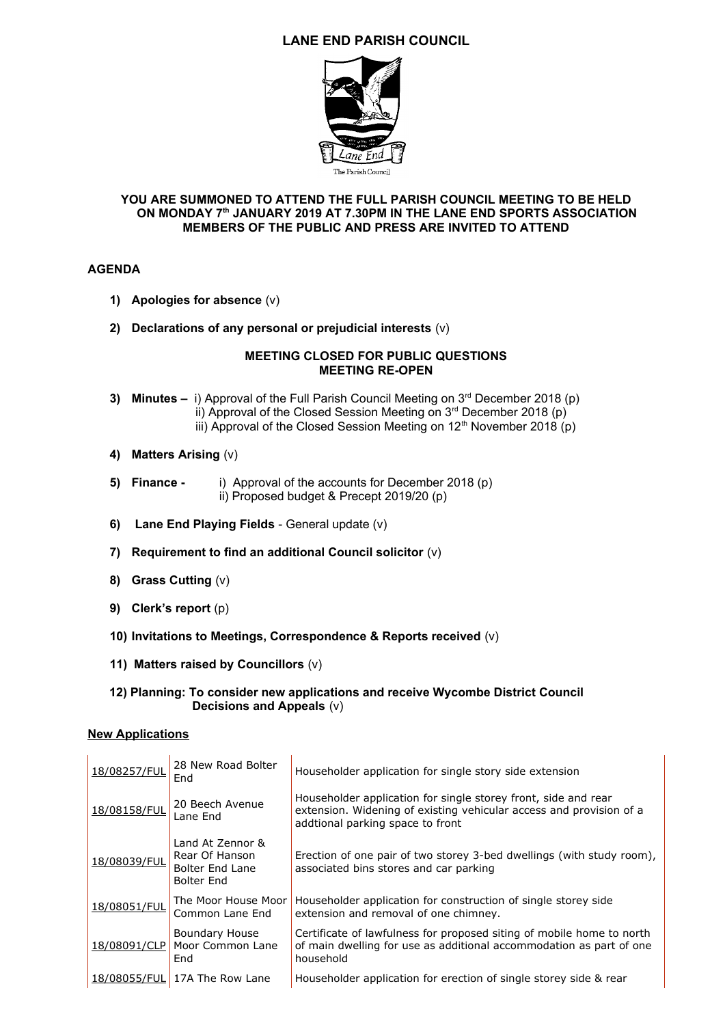# **LANE END PARISH COUNCIL**



### **YOU ARE SUMMONED TO ATTEND THE FULL PARISH COUNCIL MEETING TO BE HELD ON MONDAY 7th JANUARY 2019 AT 7.30PM IN THE LANE END SPORTS ASSOCIATION MEMBERS OF THE PUBLIC AND PRESS ARE INVITED TO ATTEND**

## **AGENDA**

- **1) Apologies for absence** (v)
- **2) Declarations of any personal or prejudicial interests** (v)

#### **MEETING CLOSED FOR PUBLIC QUESTIONS MEETING RE-OPEN**

- **3) Minutes –** i) Approval of the Full Parish Council Meeting on 3<sup>rd</sup> December 2018 (p) ii) Approval of the Closed Session Meeting on  $3<sup>rd</sup>$  December 2018 (p) iii) Approval of the Closed Session Meeting on  $12<sup>th</sup>$  November 2018 (p)
- **4) Matters Arising** (v)
- **5) Finance** i) Approval of the accounts for December 2018 (p) ii) Proposed budget & Precept 2019/20 (p)
- **6) Lane End Playing Fields** General update (v)
- **7) Requirement to find an additional Council solicitor** (v)
- **8) Grass Cutting** (v)
- **9) Clerk's report** (p)
- **10) Invitations to Meetings, Correspondence & Reports received** (v)
- **11) Matters raised by Councillors** (v)

#### **12) Planning: To consider new applications and receive Wycombe District Council Decisions and Appeals** (v)

#### **New Applications**

| 18/08257/FUL | 28 New Road Bolter<br>End                                                  | Householder application for single story side extension                                                                                                                   |
|--------------|----------------------------------------------------------------------------|---------------------------------------------------------------------------------------------------------------------------------------------------------------------------|
| 18/08158/FUL | 20 Beech Avenue<br>Lane End                                                | Householder application for single storey front, side and rear<br>extension. Widening of existing vehicular access and provision of a<br>addtional parking space to front |
| 18/08039/FUL | Land At Zennor &<br>Rear Of Hanson<br><b>Bolter End Lane</b><br>Bolter End | Erection of one pair of two storey 3-bed dwellings (with study room),<br>associated bins stores and car parking                                                           |
| 18/08051/FUL | The Moor House Moor<br>Common Lane End                                     | Householder application for construction of single storey side<br>extension and removal of one chimney.                                                                   |
| 18/08091/CLP | Boundary House<br>Moor Common Lane<br>End                                  | Certificate of lawfulness for proposed siting of mobile home to north<br>of main dwelling for use as additional accommodation as part of one<br>household                 |
| 18/08055/FUL | 17A The Row Lane                                                           | Householder application for erection of single storey side & rear                                                                                                         |